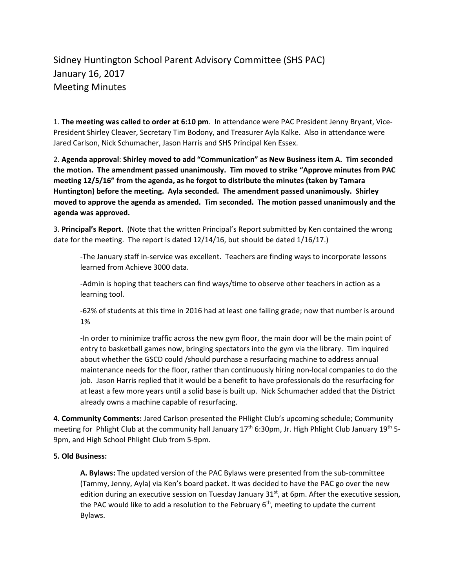## Sidney Huntington School Parent Advisory Committee (SHS PAC) January 16, 2017 Meeting Minutes

1. **The meeting was called to order at 6:10 pm**. In attendance were PAC President Jenny Bryant, Vice‐ President Shirley Cleaver, Secretary Tim Bodony, and Treasurer Ayla Kalke. Also in attendance were Jared Carlson, Nick Schumacher, Jason Harris and SHS Principal Ken Essex.

2. **Agenda approval**: **Shirley moved to add "Communication" as New Business item A. Tim seconded the motion. The amendment passed unanimously. Tim moved to strike "Approve minutes from PAC meeting 12/5/16" from the agenda, as he forgot to distribute the minutes (taken by Tamara Huntington) before the meeting. Ayla seconded. The amendment passed unanimously. Shirley moved to approve the agenda as amended. Tim seconded. The motion passed unanimously and the agenda was approved.** 

3. **Principal's Report**. (Note that the written Principal's Report submitted by Ken contained the wrong date for the meeting. The report is dated 12/14/16, but should be dated 1/16/17.)

‐The January staff in‐service was excellent. Teachers are finding ways to incorporate lessons learned from Achieve 3000 data.

‐Admin is hoping that teachers can find ways/time to observe other teachers in action as a learning tool.

‐62% of students at this time in 2016 had at least one failing grade; now that number is around 1%

‐In order to minimize traffic across the new gym floor, the main door will be the main point of entry to basketball games now, bringing spectators into the gym via the library. Tim inquired about whether the GSCD could /should purchase a resurfacing machine to address annual maintenance needs for the floor, rather than continuously hiring non‐local companies to do the job. Jason Harris replied that it would be a benefit to have professionals do the resurfacing for at least a few more years until a solid base is built up. Nick Schumacher added that the District already owns a machine capable of resurfacing.

**4. Community Comments:** Jared Carlson presented the PHlight Club's upcoming schedule; Community meeting for Phlight Club at the community hall January 17<sup>th</sup> 6:30pm, Jr. High Phlight Club January 19<sup>th</sup> 5-9pm, and High School Phlight Club from 5‐9pm.

## **5. Old Business:**

**A. Bylaws:** The updated version of the PAC Bylaws were presented from the sub‐committee (Tammy, Jenny, Ayla) via Ken's board packet. It was decided to have the PAC go over the new edition during an executive session on Tuesday January  $31<sup>st</sup>$ , at 6pm. After the executive session, the PAC would like to add a resolution to the February  $6<sup>th</sup>$ , meeting to update the current Bylaws.